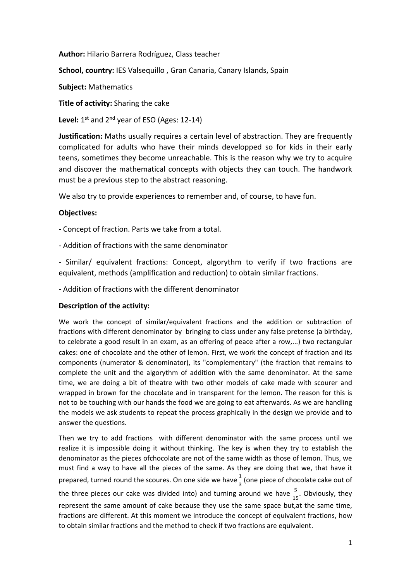**Author:** Hilario Barrera Rodríguez, Class teacher

**School, country:** IES Valsequillo , Gran Canaria, Canary Islands, Spain

**Subject:** Mathematics

**Title of activity:** Sharing the cake

**Level:** 1st and 2nd year of ESO (Ages: 12‐14)

**Justification:** Maths usually requires a certain level of abstraction. They are frequently complicated for adults who have their minds developped so for kids in their early teens, sometimes they become unreachable. This is the reason why we try to acquire and discover the mathematical concepts with objects they can touch. The handwork must be a previous step to the abstract reasoning.

We also try to provide experiences to remember and, of course, to have fun.

## **Objectives:**

‐ Concept of fraction. Parts we take from a total.

‐ Addition of fractions with the same denominator

‐ Similar/ equivalent fractions: Concept, algorythm to verify if two fractions are equivalent, methods (amplification and reduction) to obtain similar fractions.

‐ Addition of fractions with the different denominator

## **Description of the activity:**

We work the concept of similar/equivalent fractions and the addition or subtraction of fractions with different denominator by bringing to class under any false pretense (a birthday, to celebrate a good result in an exam, as an offering of peace after a row,...) two rectangular cakes: one of chocolate and the other of lemon. First, we work the concept of fraction and its components (numerator & denominator), its "complementary" (the fraction that remains to complete the unit and the algorythm of addition with the same denominator. At the same time, we are doing a bit of theatre with two other models of cake made with scourer and wrapped in brown for the chocolate and in transparent for the lemon. The reason for this is not to be touching with our hands the food we are going to eat afterwards. As we are handling the models we ask students to repeat the process graphically in the design we provide and to answer the questions.

Then we try to add fractions with different denominator with the same process until we realize it is impossible doing it without thinking. The key is when they try to establish the denominator as the pieces ofchocolate are not of the same width as those of lemon. Thus, we must find a way to have all the pieces of the same. As they are doing that we, that have it prepared, turned round the scoures. On one side we have  $\frac{1}{3}$  (one piece of chocolate cake out of the three pieces our cake was divided into) and turning around we have  $\frac{5}{15}$ . Obviously, they represent the same amount of cake because they use the same space but,at the same time, fractions are different. At this moment we introduce the concept of equivalent fractions, how to obtain similar fractions and the method to check if two fractions are equivalent.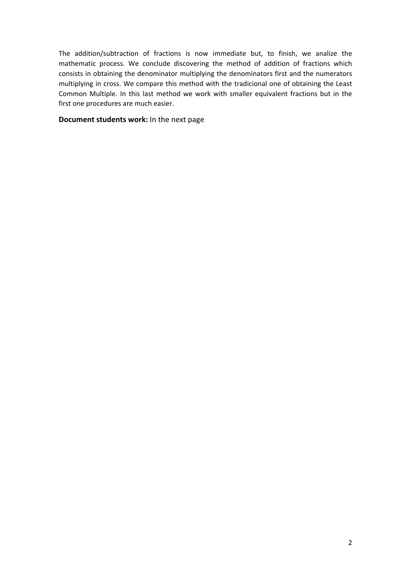The addition/subtraction of fractions is now immediate but, to finish, we analize the mathematic process. We conclude discovering the method of addition of fractions which consists in obtaining the denominator multiplying the denominators first and the numerators multiplying in cross. We compare this method with the tradicional one of obtaining the Least Common Multiple. In this last method we work with smaller equivalent fractions but in the first one procedures are much easier.

## **Document students work:** In the next page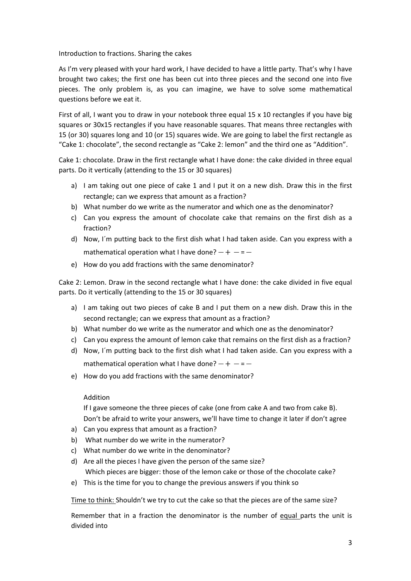Introduction to fractions. Sharing the cakes

As I'm very pleased with your hard work, I have decided to have a little party. That's why I have brought two cakes; the first one has been cut into three pieces and the second one into five pieces. The only problem is, as you can imagine, we have to solve some mathematical questions before we eat it.

First of all, I want you to draw in your notebook three equal 15 x 10 rectangles if you have big squares or 30x15 rectangles if you have reasonable squares. That means three rectangles with 15 (or 30) squares long and 10 (or 15) squares wide. We are going to label the first rectangle as "Cake 1: chocolate", the second rectangle as "Cake 2: lemon" and the third one as "Addition".

Cake 1: chocolate. Draw in the first rectangle what I have done: the cake divided in three equal parts. Do it vertically (attending to the 15 or 30 squares)

- a) I am taking out one piece of cake 1 and I put it on a new dish. Draw this in the first rectangle; can we express that amount as a fraction?
- b) What number do we write as the numerator and which one as the denominator?
- c) Can you express the amount of chocolate cake that remains on the first dish as a fraction?
- d) Now, I´m putting back to the first dish what I had taken aside. Can you express with a mathematical operation what I have done?  $- + - = -$
- e) How do you add fractions with the same denominator?

Cake 2: Lemon. Draw in the second rectangle what I have done: the cake divided in five equal parts. Do it vertically (attending to the 15 or 30 squares)

- a) I am taking out two pieces of cake B and I put them on a new dish. Draw this in the second rectangle; can we express that amount as a fraction?
- b) What number do we write as the numerator and which one as the denominator?
- c) Can you express the amount of lemon cake that remains on the first dish as a fraction?
- d) Now, I´m putting back to the first dish what I had taken aside. Can you express with a mathematical operation what I have done?  $- + - = -$
- e) How do you add fractions with the same denominator?

## Addition

If I gave someone the three pieces of cake (one from cake A and two from cake B). Don't be afraid to write your answers, we'll have time to change it later if don't agree

- a) Can you express that amount as a fraction?
- b) What number do we write in the numerator?
- c) What number do we write in the denominator?
- d) Are all the pieces I have given the person of the same size? Which pieces are bigger: those of the lemon cake or those of the chocolate cake?
- e) This is the time for you to change the previous answers if you think so

Time to think: Shouldn't we try to cut the cake so that the pieces are of the same size?

Remember that in a fraction the denominator is the number of equal parts the unit is divided into